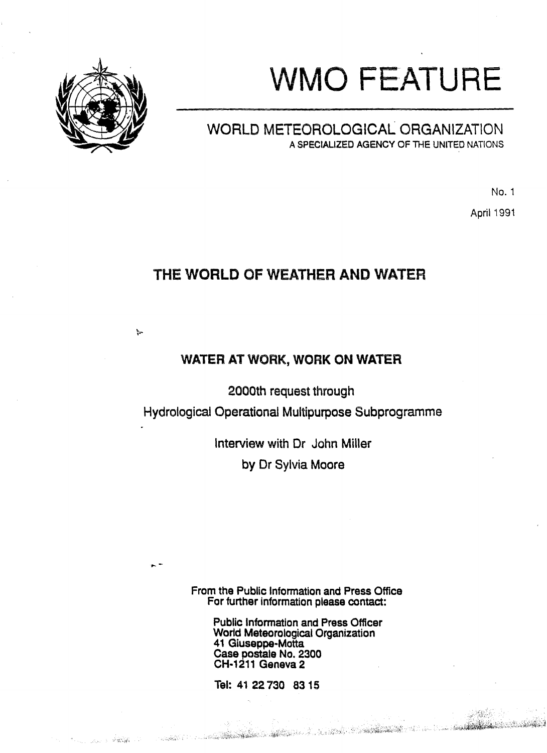# **WMO FEATURE**



## WORLD METEOROLOGICAL ORGANIZATION ASPECIALIZED AGENCY OF THE UNITED NATIONS

No.1

April 1991

**COMMANDER** 

# THE WORLD OF WEATHER AND WATER

## WATER AT WORK, WORK ON WATER

2000th request through

Hydrological Operational Multipurpose Subprogramme

Interview with Dr John Miller by Or Sylvia Moore

From the Public Information and Press Office For further information please contact:

> Public Information and Press Officer World Meteorological Organization 41 Giuseppe-Motta Case pastale No. 2300 CH·1211 Geneva 2

Tal: 41 22730 8315

a san an t-ainm an t-ainm an t-ainm an t-ainm an t-ainm an t-ainm an t-ainm an t-ainm an t-ainm an t-

...-

 $\mathbb{C}=\mathcal{H}_{\mathbb{R}}^{\mathbb{C}}\mathcal{G}_{\mathbb{R}}^{\mathbb{C}}\left(\mathbb{C}\right)\otimes_{\mathbb{C}\times\mathbb{C}}\mathbb{C}.$ 

ţ.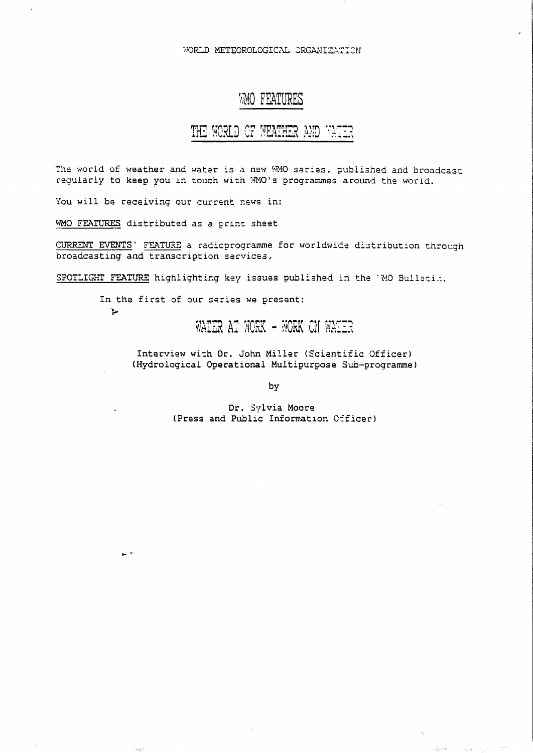WORLD METEOROLOGICAL CRGANIZATION

#### **WO FEATURES**

# THE WORLD OF WEATHER AND VATER

The world of weather and water is a new WMO series, published and broadcast regularly to keep you in touch with MMO's programmes around the world.

You will be receiving our current news in:

WMO FEATURES distributed as a print sheet

 $\mathcal{F}_{\mathbf{p}}$ 

 $\sim$   $-$ 

 $\epsilon$  -  $\ell\delta_g^2\nabla$  ).

CURRENT EVENTS' FEATURE a radioprogramme for worldwide distribution through broadcasting and transcription services,

SPOTLIGHT FEATURE highlighting key issues published in the MO Bulletin.

In the first of our series we present:

### WATER AT WORK - WORK ON WATER

Interview with Dr. John Miller (Scientific Officer) (Hydrological Operational Multipurpose Sub-programme)

by

Dr. Sylvia Moore (Press and Public Information Cificer)

 $\label{eq:3.1} \sup_{\mathcal{P}}\mathcal{L}^2\mathcal{L}=\left\{\mathcal{L}^2_{\mathcal{P}}\mathcal{L}^2\right\}\mathcal{L}^2_{\mathcal{P}}\left(\mathcal{P}^2_{\mathcal{P}}\mathcal{L}^2_{\mathcal{P}}\right)\mathcal{L}^2_{\mathcal{P}}\left(\mathcal{P}^2_{\mathcal{P}}\right)^{-1/2}$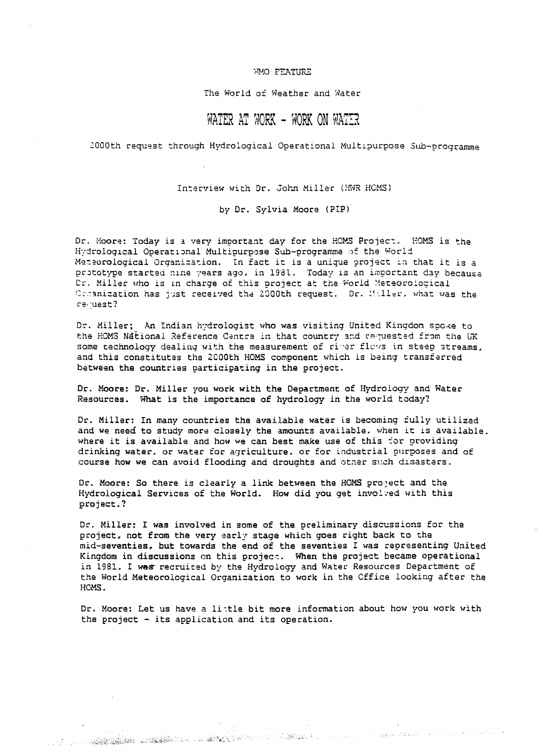#### WO FEATURE

The World of Weather and Water

#### WATER AT WORK - WORK ON WATER

2000th request through Hydrological Operational Multipurpose Sub-programme

Interview with Dr. John Miller (HWR HCMS)

by Dr. Sylvia Moore (PIP)

Dr. Moore: Today is a very important day for the HOMS Project. HOMS is the Hydrological Operational Multipurpose Sub-programme of the World Meteorological Organization. In fact it is a unique project in that it is a prototype started nine years ago, in 1981. Today is an important day because Dr. Miller who is in charge of this project at the World Meteorological Comanization has just received the 2000th request. Dr. Miller, what was the revuest?

Dr. Miller; An Indian hydrologist who was visiting United Kingdom spoke to the HOMS National Reference Centre in that country and requested from the UK some technology dealing with the measurement of river flows in steep streams, and this constitutes the 2000th HOMS component which is being transferred between the countries participating in the project.

Dr. Moore: Dr. Miller you work with the Department of Hydrology and Water Resources. What is the importance of hydrology in the world today?

Dr. Miller: In many countries the available water is becoming fully utilized and we need to study more closely the amounts available, when it is available, where it is available and how we can best make use of this for providing drinking water, or water for agriculture, or for industrial purposes and of course how we can avoid flooding and droughts and other such disasters.

Dr. Moore: So there is clearly a link between the HOMS project and the Hydrological Services of the World. How did you get involved with this project.?

Dr. Miller: I was involved in some of the preliminary discussions for the project, not from the very early stage which goes right back to the mid-seventies, but towards the end of the seventies I was representing United Kingdom in discussions on this project. When the project became operational in 1981. I was recruited by the Hydrology and Water Resources Department of the World Meteorological Organization to work in the Cffice looking after the HCMS.

Dr. Moore: Let us have a little bit more information about how you work with the project - its application and its operation.

a ang panganggang nang ng mga sang ng mga pangangang na naging pangangan na naging nang mang nanging nanging pan<br>Pangangang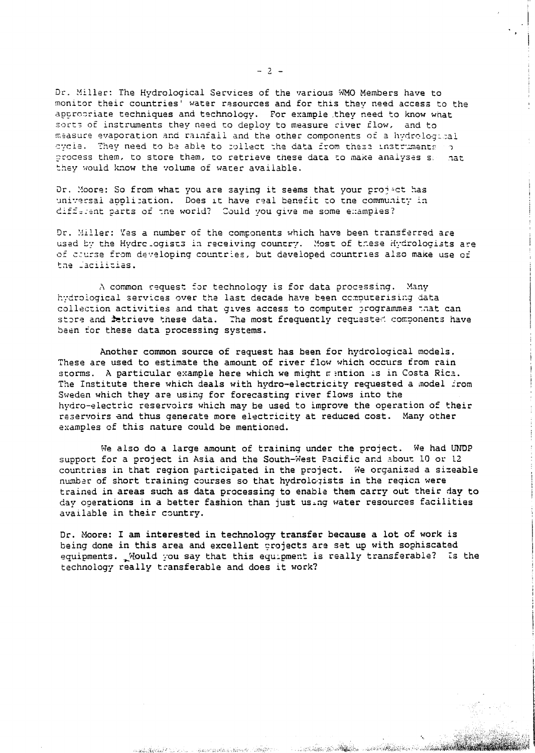Dr. Miller: The Hydrological Services of the various WMO Members have to monitor their countries' water resources and for this they need access to the appropriate techniques and technology. For example they need to know what sorts of instruments they need to deploy to measure civer flow, and to measure evaporation and rainfail and the other components of a hydrological oycle. They need to be able to collect the data from these instruments of process them, to store them, to retrieve these data to make analyses se nat they would know the volume of water available.

Dr. Moore: So from what you are saying it seems that your project has universal application. Does it have real benefit to the community in different parts of the world? Could you give me some examples?

Dr. Miller: Yes a number of the components which have been transferred are used by the Hydro ogists in receiving country. Most of these Hydrologists are of course from developing countries, but developed countries also make use of the Jacilitias.

A common request for technology is for data processing. Many hydrological services over the last decade have been computerising data collection activities and that gives access to computer programmes maat can store and *fetrieve these data.* The most frequently requested components have been for these data processing systems.

Another common source of request has been for hydrological models. These are used to estimate the amount of river flow which occurs from rain storms. A particular example here which we might mention is in Costa Rica. The Institute there which deals with hydro-electricity requested a model from Sweden which they are using for forecasting river flows into the hydro-electric reservoirs which may be used to improve the operation of their reservoirs and thus generate more electricity at reduced cost. Many other examples of this nature could be mentioned.

We also do a large amount of training under the project. We had UNDP support for a project in Asia and the South-West Pacific and about 10 or 12 countries in that region participated in the project. We organized a sizeable number of short training courses so that hydrologists in the region were trained in areas such as data processing to enable them carry out their day to day operations in a better fashion than just using water resources facilities available in their country.

Dr. Moore: I am interested in technology transfer because a lot of work is being done in this area and excellent crojects are set up with sophiscated equipments. Nould you say that this equipment is really transferable? Is the technology really transferable and does it work?

al estas a de marcas elección de la completa e

and the second completion of

**BALLAS AND ALL ALL ALL** 

 $-2 -$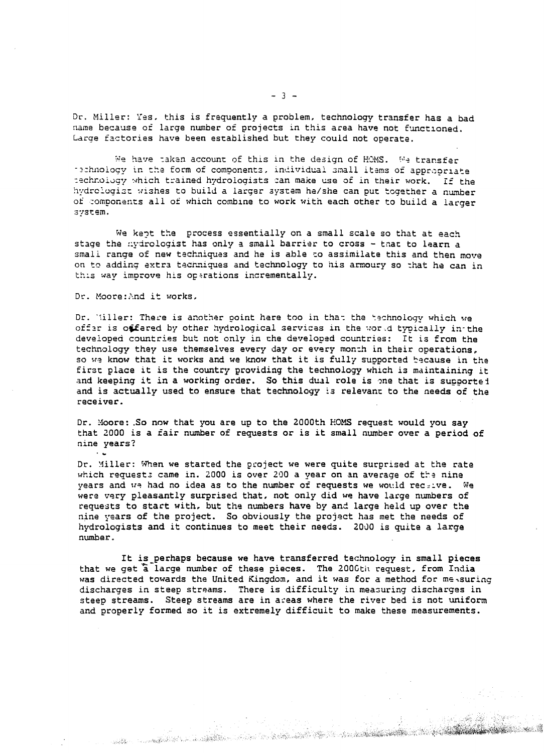Dr. Miller: Yes, this is frequently a problem, technology transfer has a bad name because of large number of projects in this area have not functioned. Large factories have been established but they could not operate.

We have taken account of this in the design of HOMS. We transfer rechnology in the form of components, individual small items of appropriate rechnology which trained hydrologists can make use of in their work. If the hydrologist wishes to build a larger system he/she can put together a number of components all of which combine to work with each other to build a larger system.

We kent the process essentially on a small scale so that at each stage the nydrologist has only a small barrier to cross - that to learn a small range of new techniques and he is able to assimilate this and then move on to adding extra techniques and technology to his armoury so that he can in this way improve his operations incrementally.

Dr. Moore: And it works,

 $\sim 10$ 

Dr. Willer: There is another point here too in that the technology which we offer is offered by other hydrological services in the world typically in the developed countries but not only in the developed countries: It is from the technology they use themselves every day or every month in their operations. so we know that it works and we know that it is fully supported because in the first place it is the country providing the technology which is maintaining it and keeping it in a working order. So this dual role is one that is supported and is actually used to ensure that technology is relevant to the needs of the receiver.

Dr. Moore: So now that you are up to the 2000th HOMS request would you say that 2000 is a fair number of requests or is it small number over a period of nine years?

Dr. Miller: When we started the project we were quite surprised at the rate which requests came in. 2000 is over 200 a vear on an average of the nine years and we had no idea as to the number of requests we would receive. We were very pleasantly surprised that, not only did we have large numbers of requests to start with, but the numbers have by and large held up over the nine years of the project. So obviously the project has met the needs of hydrologists and it continues to meet their needs. 2000 is quite a large number.

It is perhaps because we have transferred technology in small pieces that we get a large number of these pieces. The 2006th request, from India was directed towards the United Kingdom, and it was for a method for measuring discharges in steep streams. There is difficulty in measuring discharges in steep streams. Steep streams are in areas where the river bed is not uniform and properly formed so it is extremely difficult to make these measurements.

an di kacamatan di kacamatan Selasa ( 2008). Kabupatén Propinsi Jawa Kabupatén Timur Kabupatén Jawa Kabupatén

 $-3 -$